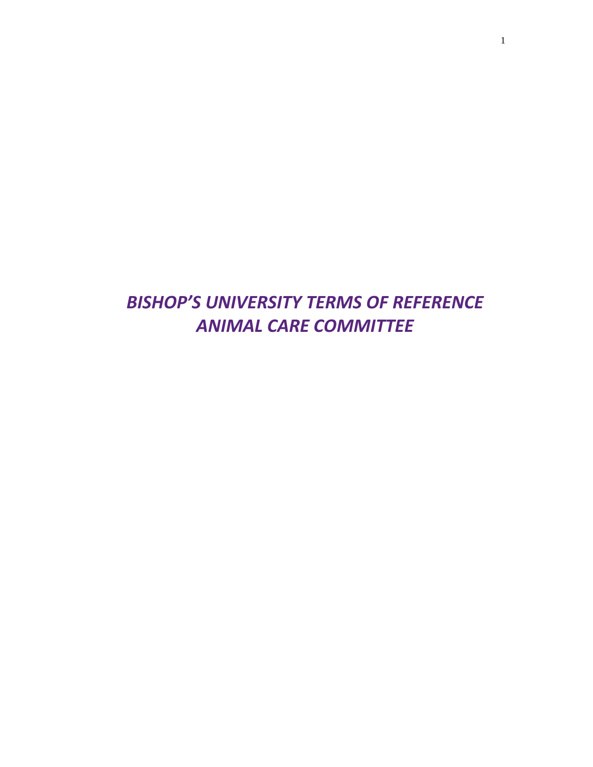# *BISHOP'S UNIVERSITY TERMS OF REFERENCE ANIMAL CARE COMMITTEE*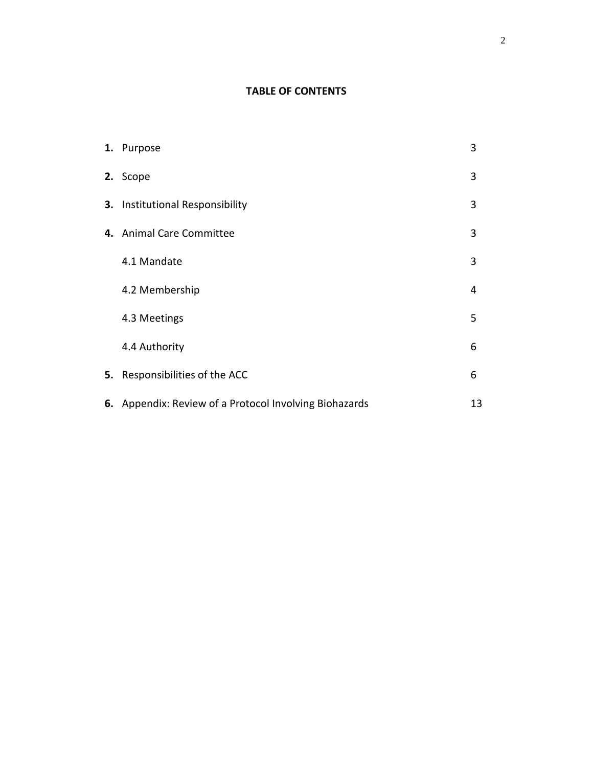# **TABLE OF CONTENTS**

| 1. Purpose                                             | 3  |
|--------------------------------------------------------|----|
| 2. Scope                                               | 3  |
| 3. Institutional Responsibility                        | 3  |
| 4. Animal Care Committee                               | 3  |
| 4.1 Mandate                                            | 3  |
| 4.2 Membership                                         | 4  |
| 4.3 Meetings                                           | 5  |
| 4.4 Authority                                          | 6  |
| 5. Responsibilities of the ACC                         | 6  |
| 6. Appendix: Review of a Protocol Involving Biohazards | 13 |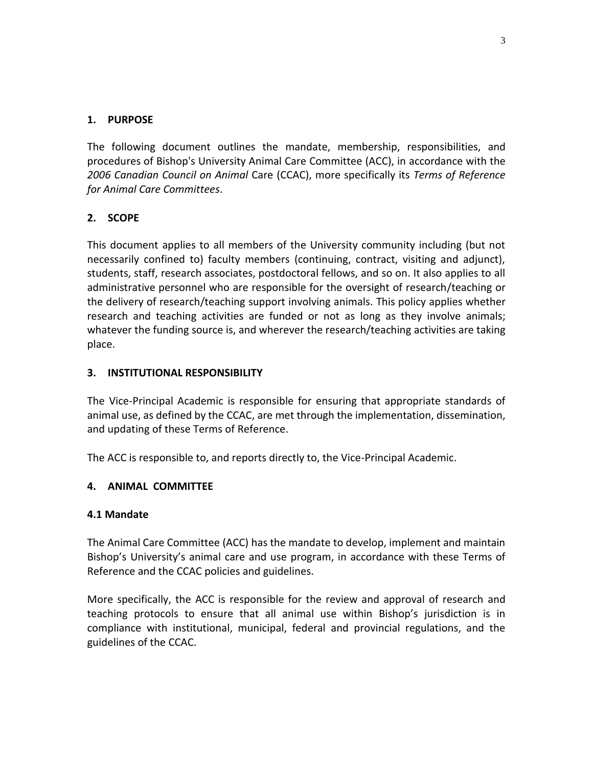# **1. PURPOSE**

The following document outlines the mandate, membership, responsibilities, and procedures of Bishop's University Animal Care Committee (ACC), in accordance with the *2006 Canadian Council on Animal* Care (CCAC), more specifically its *Terms of Reference for Animal Care Committees*.

# **2. SCOPE**

This document applies to all members of the University community including (but not necessarily confined to) faculty members (continuing, contract, visiting and adjunct), students, staff, research associates, postdoctoral fellows, and so on. It also applies to all administrative personnel who are responsible for the oversight of research/teaching or the delivery of research/teaching support involving animals. This policy applies whether research and teaching activities are funded or not as long as they involve animals; whatever the funding source is, and wherever the research/teaching activities are taking place.

# **3. INSTITUTIONAL RESPONSIBILITY**

The Vice-Principal Academic is responsible for ensuring that appropriate standards of animal use, as defined by the CCAC, are met through the implementation, dissemination, and updating of these Terms of Reference.

The ACC is responsible to, and reports directly to, the Vice-Principal Academic.

# **4. ANIMAL COMMITTEE**

### **4.1 Mandate**

The Animal Care Committee (ACC) has the mandate to develop, implement and maintain Bishop's University's animal care and use program, in accordance with these Terms of Reference and the CCAC policies and guidelines.

More specifically, the ACC is responsible for the review and approval of research and teaching protocols to ensure that all animal use within Bishop's jurisdiction is in compliance with institutional, municipal, federal and provincial regulations, and the guidelines of the [CCAC.](http://www.ccac.ca/)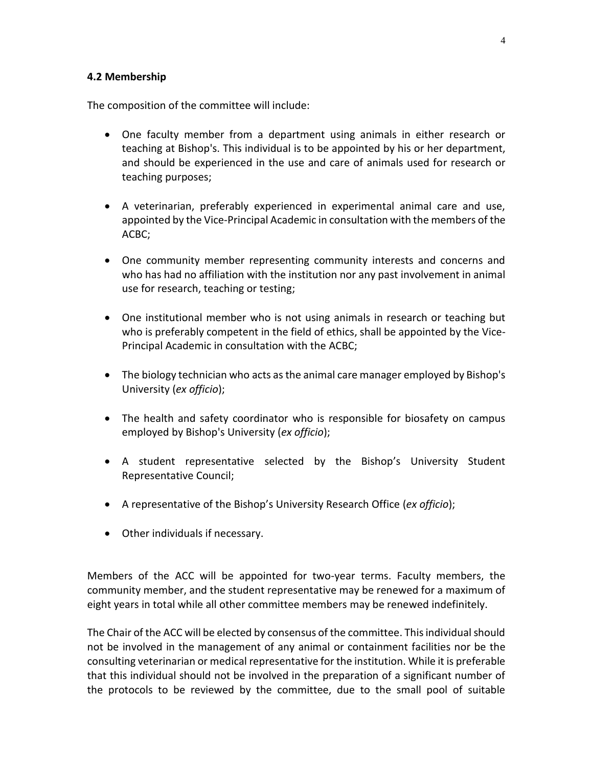#### **4.2 Membership**

The composition of the committee will include:

- One faculty member from a department using animals in either research or teaching at Bishop's. This individual is to be appointed by his or her department, and should be experienced in the use and care of animals used for research or teaching purposes;
- A veterinarian, preferably experienced in experimental animal care and use, appointed by the Vice-Principal Academic in consultation with the members of the ACBC;
- One community member representing community interests and concerns and who has had no affiliation with the institution nor any past involvement in animal use for research, teaching or testing;
- One institutional member who is not using animals in research or teaching but who is preferably competent in the field of ethics, shall be appointed by the Vice-Principal Academic in consultation with the ACBC;
- The biology technician who acts as the animal care manager employed by Bishop's University (*ex officio*);
- The health and safety coordinator who is responsible for biosafety on campus employed by Bishop's University (*ex officio*);
- A student representative selected by the Bishop's University Student Representative Council;
- A representative of the Bishop's University Research Office (*ex officio*);
- Other individuals if necessary.

Members of the ACC will be appointed for two-year terms. Faculty members, the community member, and the student representative may be renewed for a maximum of eight years in total while all other committee members may be renewed indefinitely.

The Chair of the ACC will be elected by consensus of the committee. This individual should not be involved in the management of any animal or containment facilities nor be the consulting veterinarian or medical representative for the institution. While it is preferable that this individual should not be involved in the preparation of a significant number of the protocols to be reviewed by the committee, due to the small pool of suitable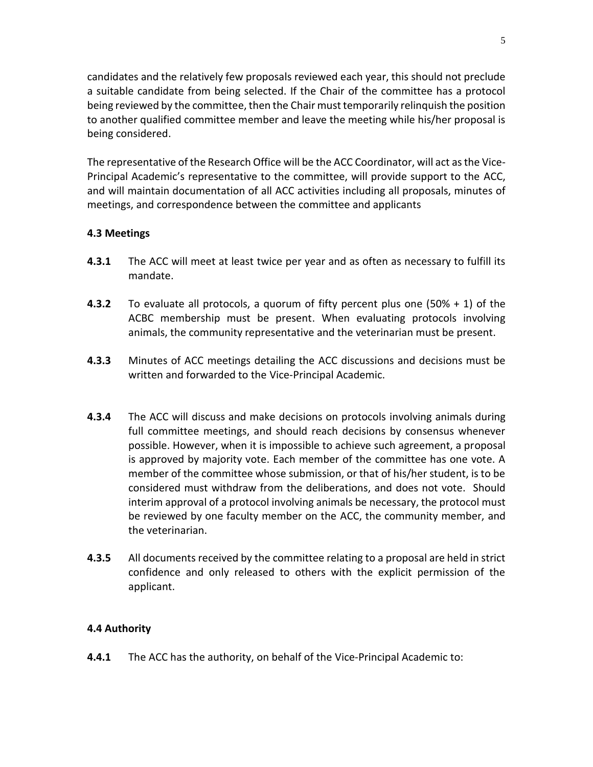candidates and the relatively few proposals reviewed each year, this should not preclude a suitable candidate from being selected. If the Chair of the committee has a protocol being reviewed by the committee, then the Chair must temporarily relinquish the position to another qualified committee member and leave the meeting while his/her proposal is being considered.

The representative of the Research Office will be the ACC Coordinator, will act as the Vice-Principal Academic's representative to the committee, will provide support to the ACC, and will maintain documentation of all ACC activities including all proposals, minutes of meetings, and correspondence between the committee and applicants

### **4.3 Meetings**

- **4.3.1** The ACC will meet at least twice per year and as often as necessary to fulfill its mandate.
- **4.3.2** To evaluate all protocols, a quorum of fifty percent plus one (50% + 1) of the ACBC membership must be present. When evaluating protocols involving animals, the community representative and the veterinarian must be present.
- **4.3.3** Minutes of ACC meetings detailing the ACC discussions and decisions must be written and forwarded to the Vice-Principal Academic.
- **4.3.4** The ACC will discuss and make decisions on protocols involving animals during full committee meetings, and should reach decisions by consensus whenever possible. However, when it is impossible to achieve such agreement, a proposal is approved by majority vote. Each member of the committee has one vote. A member of the committee whose submission, or that of his/her student, is to be considered must withdraw from the deliberations, and does not vote. Should interim approval of a protocol involving animals be necessary, the protocol must be reviewed by one faculty member on the ACC, the community member, and the veterinarian.
- **4.3.5** All documents received by the committee relating to a proposal are held in strict confidence and only released to others with the explicit permission of the applicant.

# **4.4 Authority**

**4.4.1** The ACC has the authority, on behalf of the Vice-Principal Academic to: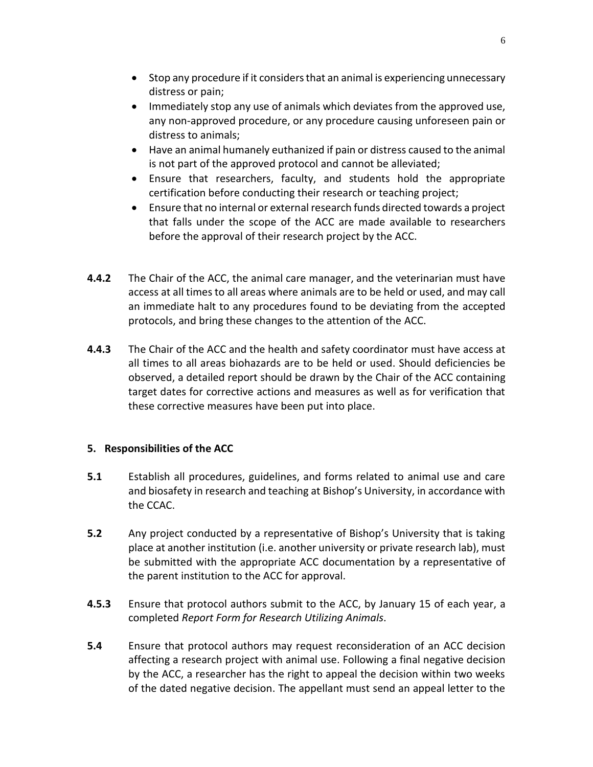- Stop any procedure if it considers that an animal is experiencing unnecessary distress or pain;
- Immediately stop any use of animals which deviates from the approved use, any non-approved procedure, or any procedure causing unforeseen pain or distress to animals;
- Have an animal humanely euthanized if pain or distress caused to the animal is not part of the approved protocol and cannot be alleviated;
- Ensure that researchers, faculty, and students hold the appropriate certification before conducting their research or teaching project;
- Ensure that no internal or external research funds directed towards a project that falls under the scope of the ACC are made available to researchers before the approval of their research project by the ACC.
- **4.4.2** The Chair of the ACC, the animal care manager, and the veterinarian must have access at all times to all areas where animals are to be held or used, and may call an immediate halt to any procedures found to be deviating from the accepted protocols, and bring these changes to the attention of the ACC.
- **4.4.3** The Chair of the ACC and the health and safety coordinator must have access at all times to all areas biohazards are to be held or used. Should deficiencies be observed, a detailed report should be drawn by the Chair of the ACC containing target dates for corrective actions and measures as well as for verification that these corrective measures have been put into place.

# **5. Responsibilities of the ACC**

- **5.1** Establish all procedures, guidelines, and forms related to animal use and care and biosafety in research and teaching at Bishop's University, in accordance with the CCAC.
- **5.2** Any project conducted by a representative of Bishop's University that is taking place at another institution (i.e. another university or private research lab), must be submitted with the appropriate ACC documentation by a representative of the parent institution to the ACC for approval.
- **4.5.3** Ensure that protocol authors submit to the ACC, by January 15 of each year, a completed *Report Form for Research Utilizing Animals*.
- **5.4** Ensure that protocol authors may request reconsideration of an ACC decision affecting a research project with animal use. Following a final negative decision by the ACC, a researcher has the right to appeal the decision within two weeks of the dated negative decision. The appellant must send an appeal letter to the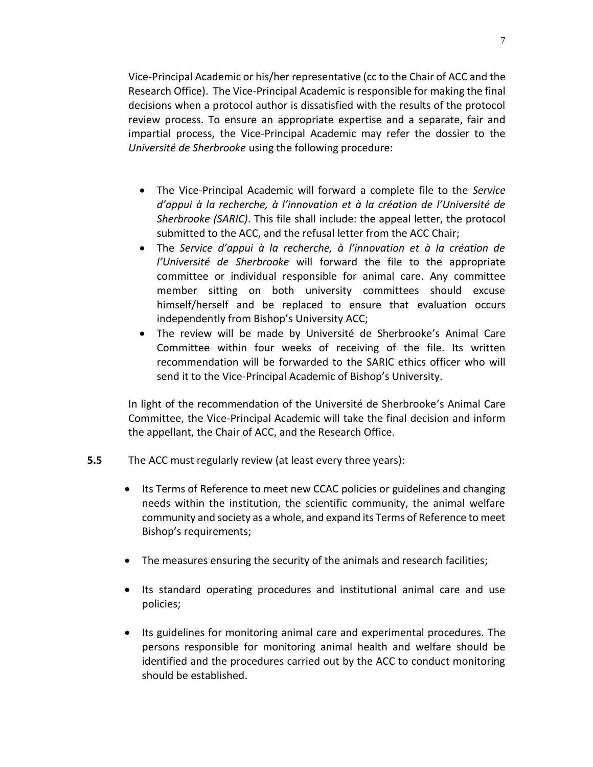Vice-Principal Academic or his/her representative (cc to the Chair of ACC and the Research Office). The Vice-Principal Academic is responsible for making the final decisions when a protocol author is dissatisfied with the results of the protocol review process. To ensure an appropriate expertise and a separate, fair and impartial process, the Vice-Principal Academic may refer the dossier to the *Université de Sherbrooke* using the following procedure:

- The Vice-Principal Academic will forward a complete file to the *Service d'appui à la recherche, à l'innovation et à la création de l'Université de Sherbrooke (SARIC)*. This file shall include: the appeal letter, the protocol submitted to the ACC, and the refusal letter from the ACC Chair;
- The *Service d'appui à la recherche, à l'innovation et à la création de l'Université de Sherbrooke* will forward the file to the appropriate committee or individual responsible for animal care. Any committee member sitting on both university committees should excuse himself/herself and be replaced to ensure that evaluation occurs independently from Bishop's University ACC;
- The review will be made by Université de Sherbrooke's Animal Care Committee within four weeks of receiving of the file. Its written recommendation will be forwarded to the SARIC ethics officer who will send it to the Vice-Principal Academic of Bishop's University.

In light of the recommendation of the Université de Sherbrooke's Animal Care Committee, the Vice-Principal Academic will take the final decision and inform the appellant, the Chair of ACC, and the Research Office.

- **5.5** The ACC must regularly review (at least every three years):
	- Its Terms of Reference to meet new CCAC policies or guidelines and changing needs within the institution, the scientific community, the animal welfare community and society as a whole, and expand its Terms of Reference to meet Bishop's requirements;
	- The measures ensuring the security of the animals and research facilities;
	- Its standard operating procedures and institutional animal care and use policies;
	- Its guidelines for monitoring animal care and experimental procedures. The persons responsible for monitoring animal health and welfare should be identified and the procedures carried out by the ACC to conduct monitoring should be established.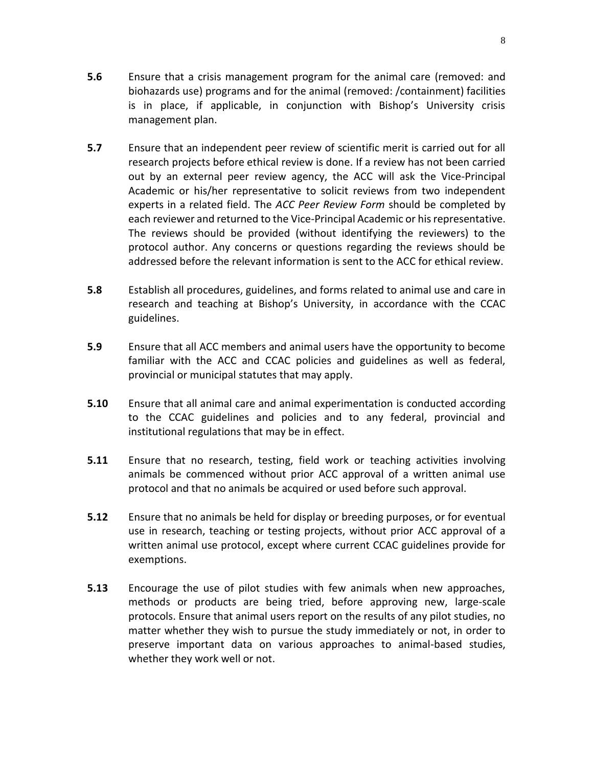- **5.6** Ensure that a crisis management program for the animal care (removed: and biohazards use) programs and for the animal (removed: /containment) facilities is in place, if applicable, in conjunction with Bishop's University crisis management plan.
- **5.7** Ensure that an independent peer review of scientific merit is carried out for all research projects before ethical review is done. If a review has not been carried out by an external peer review agency, the ACC will ask the Vice-Principal Academic or his/her representative to solicit reviews from two independent experts in a related field. The *ACC Peer Review Form* should be completed by each reviewer and returned to the Vice-Principal Academic or his representative. The reviews should be provided (without identifying the reviewers) to the protocol author. Any concerns or questions regarding the reviews should be addressed before the relevant information is sent to the ACC for ethical review.
- **5.8** Establish all procedures, guidelines, and forms related to animal use and care in research and teaching at Bishop's University, in accordance with the [CCAC](http://www.ccac.ca/) guidelines.
- **5.9** Ensure that all ACC members and animal users have the opportunity to become familiar with the ACC and CCAC policies and guidelines as well as federal, provincial or municipal statutes that may apply.
- **5.10** Ensure that all animal care and animal experimentation is conducted according to the CCAC guidelines and policies and to any federal, provincial and institutional regulations that may be in effect.
- **5.11** Ensure that no research, testing, field work or teaching activities involving animals be commenced without prior ACC approval of a written animal use protocol and that no animals be acquired or used before such approval.
- **5.12** Ensure that no animals be held for display or breeding purposes, or for eventual use in research, teaching or testing projects, without prior ACC approval of a written animal use protocol, except where current CCAC guidelines provide for exemptions.
- **5.13** Encourage the use of pilot studies with few animals when new approaches, methods or products are being tried, before approving new, large-scale protocols. Ensure that animal users report on the results of any pilot studies, no matter whether they wish to pursue the study immediately or not, in order to preserve important data on various approaches to animal-based studies, whether they work well or not.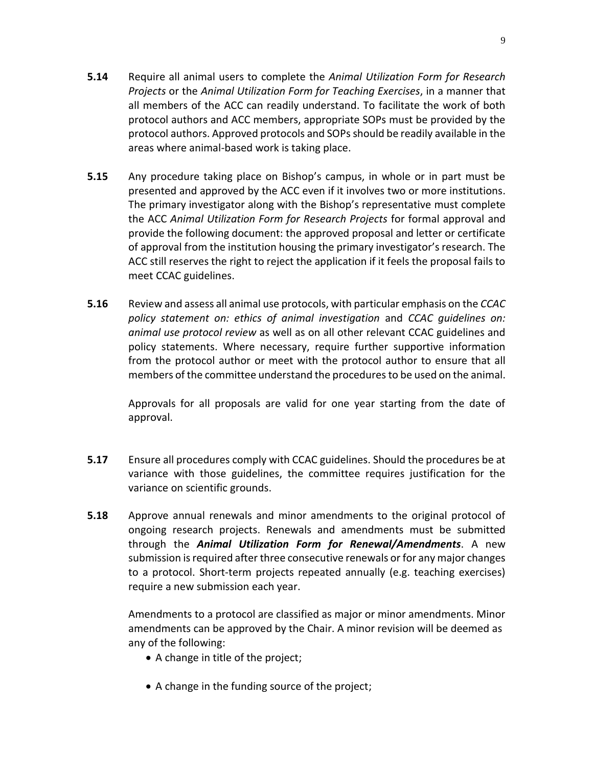- **5.14** Require all animal users to complete the *Animal Utilization Form for Research Projects* or the *Animal Utilization Form for Teaching Exercises*, in a manner that all members of the ACC can readily understand. To facilitate the work of both protocol authors and ACC members, appropriate SOPs must be provided by the protocol authors. Approved protocols and SOPs should be readily available in the areas where animal-based work is taking place.
- **5.15** Any procedure taking place on Bishop's campus, in whole or in part must be presented and approved by the ACC even if it involves two or more institutions. The primary investigator along with the Bishop's representative must complete the ACC *Animal Utilization Form for Research Projects* for formal approval and provide the following document: the approved proposal and letter or certificate of approval from the institution housing the primary investigator's research. The ACC still reserves the right to reject the application if it feels the proposal fails to meet [CCAC](http://www.ccac.ca/) guidelines.
- **5.16** Review and assess all animal use protocols, with particular emphasis on the *CCAC policy statement on: ethics of animal investigation* and *CCAC guidelines on: animal use protocol review* as well as on all other relevant CCAC guidelines and policy statements. Where necessary, require further supportive information from the protocol author or meet with the protocol author to ensure that all members of the committee understand the proceduresto be used on the animal.

Approvals for all proposals are valid for one year starting from the date of approval.

- **5.17** Ensure all procedures comply with CCAC guidelines. Should the procedures be at variance with those guidelines, the committee requires justification for the variance on scientific grounds.
- **5.18** Approve annual renewals and minor amendments to the original protocol of ongoing research projects. Renewals and amendments must be submitted through the *Animal Utilization Form for Renewal/Amendments*. A new submission is required after three consecutive renewals or for any major changes to a protocol. Short-term projects repeated annually (e.g. teaching exercises) require a new submission each year.

Amendments to a protocol are classified as major or minor amendments. Minor amendments can be approved by the Chair. A minor revision will be deemed as any of the following:

- A change in title of the project;
- A change in the funding source of the project;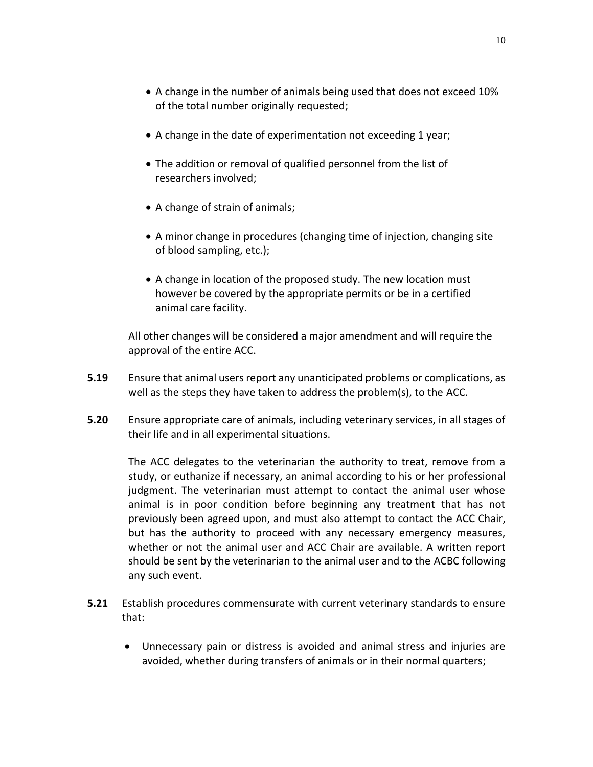10

- A change in the number of animals being used that does not exceed 10% of the total number originally requested;
- A change in the date of experimentation not exceeding 1 year;
- The addition or removal of qualified personnel from the list of researchers involved;
- A change of strain of animals;
- A minor change in procedures (changing time of injection, changing site of blood sampling, etc.);
- A change in location of the proposed study. The new location must however be covered by the appropriate permits or be in a certified animal care facility.

All other changes will be considered a major amendment and will require the approval of the entire ACC.

- **5.19** Ensure that animal users report any unanticipated problems or complications, as well as the steps they have taken to address the problem(s), to the ACC.
- **5.20** Ensure appropriate care of animals, including veterinary services, in all stages of their life and in all experimental situations.

The ACC delegates to the veterinarian the authority to treat, remove from a study, or euthanize if necessary, an animal according to his or her professional judgment. The veterinarian must attempt to contact the animal user whose animal is in poor condition before beginning any treatment that has not previously been agreed upon, and must also attempt to contact the ACC Chair, but has the authority to proceed with any necessary emergency measures, whether or not the animal user and ACC Chair are available. A written report should be sent by the veterinarian to the animal user and to the ACBC following any such event.

- **5.21** Establish procedures commensurate with current veterinary standards to ensure that:
	- Unnecessary pain or distress is avoided and animal stress and injuries are avoided, whether during transfers of animals or in their normal quarters;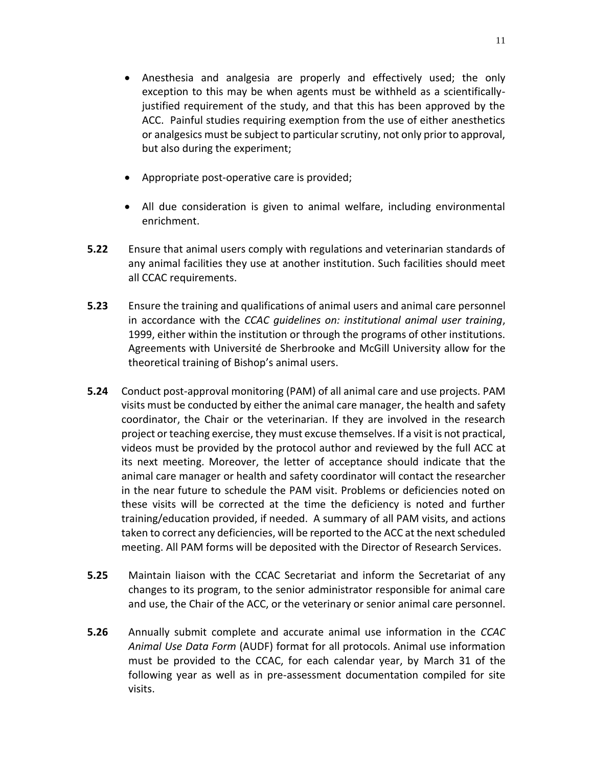- Anesthesia and analgesia are properly and effectively used; the only exception to this may be when agents must be withheld as a scientificallyjustified requirement of the study, and that this has been approved by the ACC. Painful studies requiring exemption from the use of either anesthetics or analgesics must be subject to particular scrutiny, not only prior to approval, but also during the experiment;
- Appropriate post-operative care is provided;
- All due consideration is given to animal welfare, including environmental enrichment.
- **5.22** Ensure that animal users comply with regulations and veterinarian standards of any animal facilities they use at another institution. Such facilities should meet all CCAC requirements.
- **5.23** Ensure the training and qualifications of animal users and animal care personnel in accordance with the *CCAC guidelines on: institutional animal user training*, 1999, either within the institution or through the programs of other institutions. Agreements with Université de Sherbrooke and McGill University allow for the theoretical training of Bishop's animal users.
- **5.24** Conduct post-approval monitoring (PAM) of all animal care and use projects. PAM visits must be conducted by either the animal care manager, the health and safety coordinator, the Chair or the veterinarian. If they are involved in the research project or teaching exercise, they must excuse themselves. If a visit is not practical, videos must be provided by the protocol author and reviewed by the full ACC at its next meeting. Moreover, the letter of acceptance should indicate that the animal care manager or health and safety coordinator will contact the researcher in the near future to schedule the PAM visit. Problems or deficiencies noted on these visits will be corrected at the time the deficiency is noted and further training/education provided, if needed. A summary of all PAM visits, and actions taken to correct any deficiencies, will be reported to the ACC at the next scheduled meeting. All PAM forms will be deposited with the Director of Research Services.
- **5.25** Maintain liaison with the CCAC Secretariat and inform the Secretariat of any changes to its program, to the senior administrator responsible for animal care and use, the Chair of the ACC, or the veterinary or senior animal care personnel.
- **5.26** Annually submit complete and accurate animal use information in the *CCAC Animal Use Data Form* (AUDF) format for all protocols. Animal use information must be provided to the CCAC, for each calendar year, by March 31 of the following year as well as in pre-assessment documentation compiled for site visits.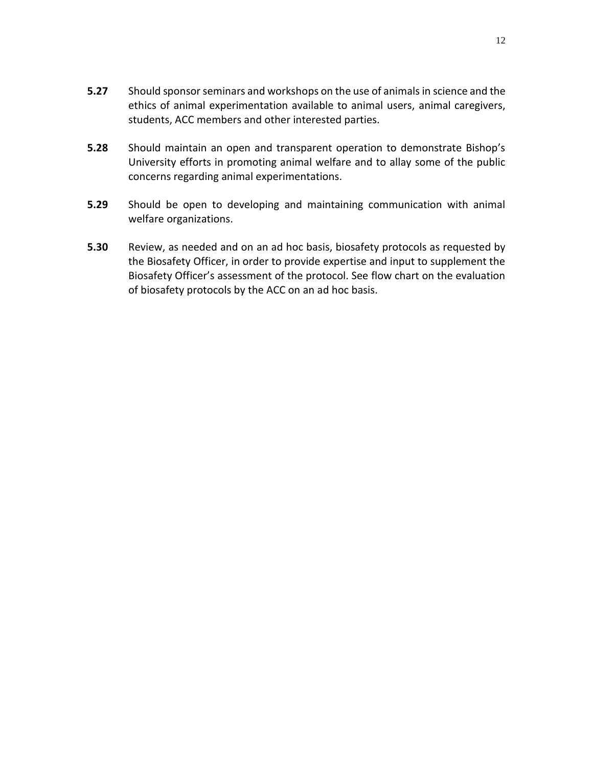- **5.27** Should sponsor seminars and workshops on the use of animals in science and the ethics of animal experimentation available to animal users, animal caregivers, students, ACC members and other interested parties.
- **5.28** Should maintain an open and transparent operation to demonstrate Bishop's University efforts in promoting animal welfare and to allay some of the public concerns regarding animal experimentations.
- **5.29** Should be open to developing and maintaining communication with animal welfare organizations.
- **5.30** Review, as needed and on an ad hoc basis, biosafety protocols as requested by the Biosafety Officer, in order to provide expertise and input to supplement the Biosafety Officer's assessment of the protocol. See flow chart on the evaluation of biosafety protocols by the ACC on an ad hoc basis.